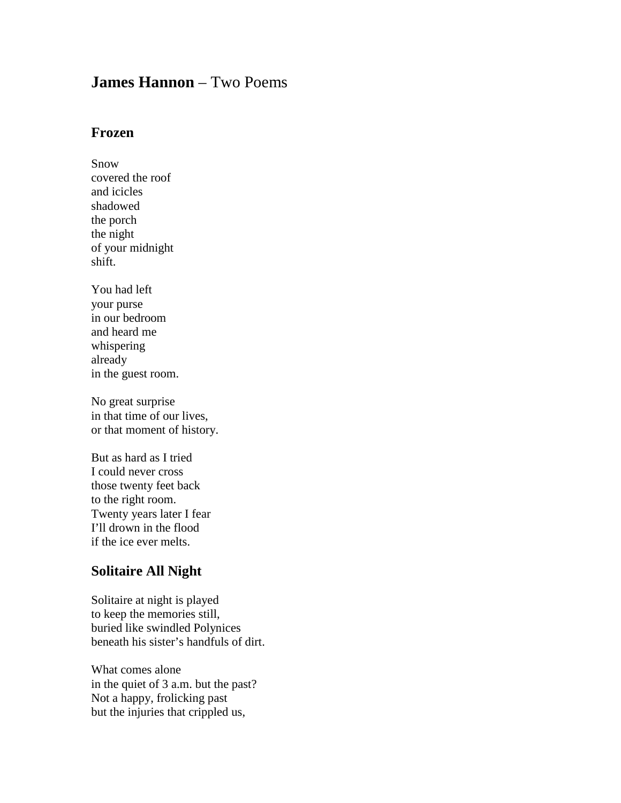## **James Hannon** – Two Poems

## **Frozen**

Snow covered the roof and icicles shadowed the porch the night of your midnight shift.

You had left your purse in our bedroom and heard me whispering already in the guest room.

No great surprise in that time of our lives, or that moment of history.

But as hard as I tried I could never cross those twenty feet back to the right room. Twenty years later I fear I'll drown in the flood if the ice ever melts.

## **Solitaire All Night**

Solitaire at night is played to keep the memories still, buried like swindled Polynices beneath his sister's handfuls of dirt.

What comes alone in the quiet of 3 a.m. but the past? Not a happy, frolicking past but the injuries that crippled us,